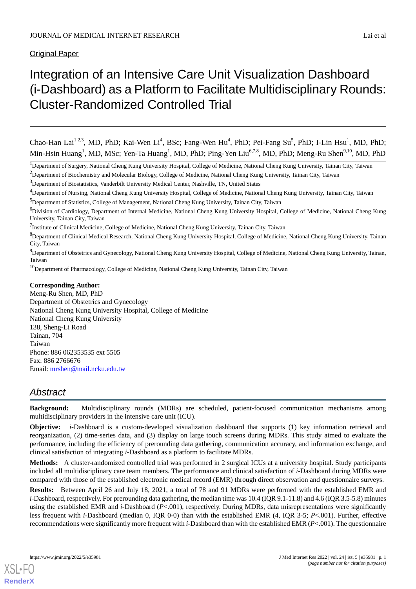**Original Paper** 

# Integration of an Intensive Care Unit Visualization Dashboard (i-Dashboard) as a Platform to Facilitate Multidisciplinary Rounds: Cluster-Randomized Controlled Trial

Chao-Han Lai<sup>1,2,3</sup>, MD, PhD; Kai-Wen Li<sup>4</sup>, BSc; Fang-Wen Hu<sup>4</sup>, PhD; Pei-Fang Su<sup>5</sup>, PhD; I-Lin Hsu<sup>1</sup>, MD, PhD; Min-Hsin Huang<sup>1</sup>, MD, MSc; Yen-Ta Huang<sup>1</sup>, MD, PhD; Ping-Yen Liu<sup>6,7,8</sup>, MD, PhD; Meng-Ru Shen<sup>9,10</sup>, MD, PhD

<sup>1</sup>Department of Surgery, National Cheng Kung University Hospital, College of Medicine, National Cheng Kung University, Tainan City, Taiwan

<sup>2</sup>Department of Biochemistry and Molecular Biology, College of Medicine, National Cheng Kung University, Tainan City, Taiwan

<sup>3</sup>Department of Biostatistics, Vanderbilt University Medical Center, Nashville, TN, United States

<sup>7</sup>Institute of Clinical Medicine, College of Medicine, National Cheng Kung University, Tainan City, Taiwan

<sup>8</sup>Department of Clinical Medical Research, National Cheng Kung University Hospital, College of Medicine, National Cheng Kung University, Tainan City, Taiwan

<sup>9</sup>Department of Obstetrics and Gynecology, National Cheng Kung University Hospital, College of Medicine, National Cheng Kung University, Tainan, Taiwan

<sup>10</sup>Department of Pharmacology, College of Medicine, National Cheng Kung University, Tainan City, Taiwan

#### **Corresponding Author:**

Meng-Ru Shen, MD, PhD Department of Obstetrics and Gynecology National Cheng Kung University Hospital, College of Medicine National Cheng Kung University 138, Sheng-Li Road Tainan, 704 Taiwan Phone: 886 062353535 ext 5505 Fax: 886 2766676 Email: [mrshen@mail.ncku.edu.tw](mailto:mrshen@mail.ncku.edu.tw)

# *Abstract*

**Background:** Multidisciplinary rounds (MDRs) are scheduled, patient-focused communication mechanisms among multidisciplinary providers in the intensive care unit (ICU).

**Objective:** *i*-Dashboard is a custom-developed visualization dashboard that supports (1) key information retrieval and reorganization, (2) time-series data, and (3) display on large touch screens during MDRs. This study aimed to evaluate the performance, including the efficiency of prerounding data gathering, communication accuracy, and information exchange, and clinical satisfaction of integrating *i*-Dashboard as a platform to facilitate MDRs.

**Methods:** A cluster-randomized controlled trial was performed in 2 surgical ICUs at a university hospital. Study participants included all multidisciplinary care team members. The performance and clinical satisfaction of *i*-Dashboard during MDRs were compared with those of the established electronic medical record (EMR) through direct observation and questionnaire surveys.

**Results:** Between April 26 and July 18, 2021, a total of 78 and 91 MDRs were performed with the established EMR and *i*-Dashboard, respectively. For prerounding data gathering, the median time was 10.4 (IQR 9.1-11.8) and 4.6 (IQR 3.5-5.8) minutes using the established EMR and *i*-Dashboard (*P*<.001), respectively. During MDRs, data misrepresentations were significantly less frequent with *i*-Dashboard (median 0, IQR 0-0) than with the established EMR (4, IQR 3-5; *P*<.001). Further, effective recommendations were significantly more frequent with *i*-Dashboard than with the established EMR (*P*<.001). The questionnaire

[XSL](http://www.w3.org/Style/XSL)•FO **[RenderX](http://www.renderx.com/)**

<sup>4</sup>Department of Nursing, National Cheng Kung University Hospital, College of Medicine, National Cheng Kung University, Tainan City, Taiwan

<sup>5</sup>Department of Statistics, College of Management, National Cheng Kung University, Tainan City, Taiwan

<sup>&</sup>lt;sup>6</sup>Division of Cardiology, Department of Internal Medicine, National Cheng Kung University Hospital, College of Medicine, National Cheng Kung University, Tainan City, Taiwan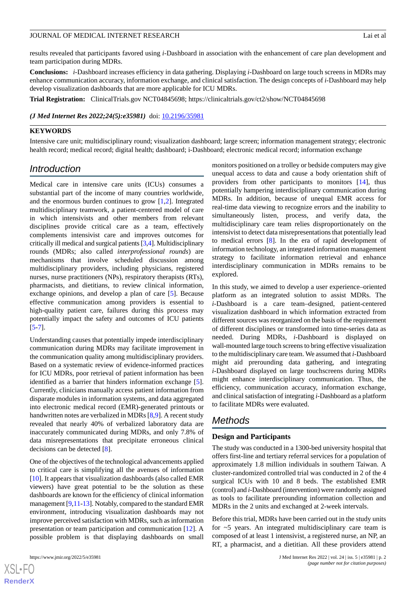results revealed that participants favored using *i*-Dashboard in association with the enhancement of care plan development and team participation during MDRs.

**Conclusions:** *i*-Dashboard increases efficiency in data gathering. Displaying *i*-Dashboard on large touch screens in MDRs may enhance communication accuracy, information exchange, and clinical satisfaction. The design concepts of *i*-Dashboard may help develop visualization dashboards that are more applicable for ICU MDRs.

**Trial Registration:** ClinicalTrials.gov NCT04845698; https://clinicaltrials.gov/ct2/show/NCT04845698

#### *(J Med Internet Res 2022;24(5):e35981)* doi: **[10.2196/35981](http://dx.doi.org/10.2196/35981)**

#### **KEYWORDS**

Intensive care unit; multidisciplinary round; visualization dashboard; large screen; information management strategy; electronic health record; medical record; digital health; dashboard; i-Dashboard; electronic medical record; information exchange

# *Introduction*

Medical care in intensive care units (ICUs) consumes a substantial part of the income of many countries worldwide, and the enormous burden continues to grow [[1](#page-11-0)[,2](#page-11-1)]. Integrated multidisciplinary teamwork, a patient-centered model of care in which intensivists and other members from relevant disciplines provide critical care as a team, effectively complements intensivist care and improves outcomes for critically ill medical and surgical patients [[3,](#page-11-2)[4\]](#page-11-3). Multidisciplinary rounds (MDRs; also called *interprofessional rounds*) are mechanisms that involve scheduled discussion among multidisciplinary providers, including physicians, registered nurses, nurse practitioners (NPs), respiratory therapists (RTs), pharmacists, and dietitians, to review clinical information, exchange opinions, and develop a plan of care [[5\]](#page-11-4). Because effective communication among providers is essential to high-quality patient care, failures during this process may potentially impact the safety and outcomes of ICU patients [[5](#page-11-4)[-7](#page-11-5)].

Understanding causes that potentially impede interdisciplinary communication during MDRs may facilitate improvement in the communication quality among multidisciplinary providers. Based on a systematic review of evidence-informed practices for ICU MDRs, poor retrieval of patient information has been identified as a barrier that hinders information exchange [[5\]](#page-11-4). Currently, clinicians manually access patient information from disparate modules in information systems, and data aggregated into electronic medical record (EMR)-generated printouts or handwritten notes are verbalized in MDRs [\[8](#page-12-0),[9\]](#page-12-1). A recent study revealed that nearly 40% of verbalized laboratory data are inaccurately communicated during MDRs, and only 7.8% of data misrepresentations that precipitate erroneous clinical decisions can be detected [[8\]](#page-12-0).

One of the objectives of the technological advancements applied to critical care is simplifying all the avenues of information [[10\]](#page-12-2). It appears that visualization dashboards (also called EMR viewers) have great potential to be the solution as these dashboards are known for the efficiency of clinical information management [\[9](#page-12-1)[,11](#page-12-3)[-13](#page-12-4)]. Notably, compared to the standard EMR environment, introducing visualization dashboards may not improve perceived satisfaction with MDRs, such as information presentation or team participation and communication [[12\]](#page-12-5). A possible problem is that displaying dashboards on small

monitors positioned on a trolley or bedside computers may give unequal access to data and cause a body orientation shift of providers from other participants to monitors [[14\]](#page-12-6), thus potentially hampering interdisciplinary communication during MDRs. In addition, because of unequal EMR access for real-time data viewing to recognize errors and the inability to simultaneously listen, process, and verify data, the multidisciplinary care team relies disproportionately on the intensivist to detect data misrepresentations that potentially lead to medical errors [\[8](#page-12-0)]. In the era of rapid development of information technology, an integrated information management strategy to facilitate information retrieval and enhance interdisciplinary communication in MDRs remains to be explored.

In this study, we aimed to develop a user experience–oriented platform as an integrated solution to assist MDRs. The *i*-Dashboard is a care team–designed, patient-centered visualization dashboard in which information extracted from different sources was reorganized on the basis of the requirement of different disciplines or transformed into time-series data as needed. During MDRs, *i*-Dashboard is displayed on wall-mounted large touch screens to bring effective visualization to the multidisciplinary care team. We assumed that *i*-Dashboard might aid prerounding data gathering, and integrating *i*-Dashboard displayed on large touchscreens during MDRs might enhance interdisciplinary communication. Thus, the efficiency, communication accuracy, information exchange, and clinical satisfaction of integrating *i*-Dashboard as a platform to facilitate MDRs were evaluated.

# *Methods*

#### **Design and Participants**

The study was conducted in a 1300-bed university hospital that offers first-line and tertiary referral services for a population of approximately 1.8 million individuals in southern Taiwan. A cluster-randomized controlled trial was conducted in 2 of the 4 surgical ICUs with 10 and 8 beds. The established EMR (control) and *i*-Dashboard (intervention) were randomly assigned as tools to facilitate prerounding information collection and MDRs in the 2 units and exchanged at 2-week intervals.

Before this trial, MDRs have been carried out in the study units for ~5 years. An integrated multidisciplinary care team is composed of at least 1 intensivist, a registered nurse, an NP, an RT, a pharmacist, and a dietitian. All these providers attend

```
XS\cdotFC
RenderX
```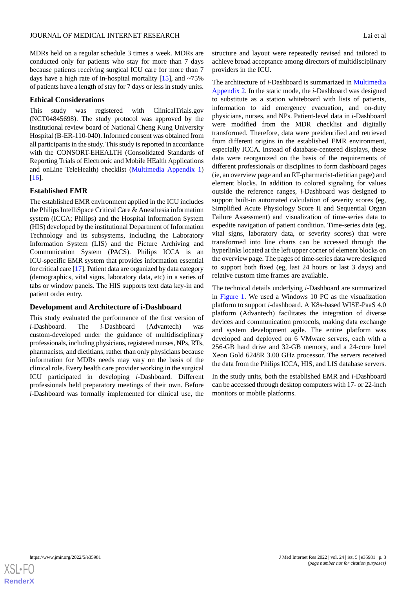MDRs held on a regular schedule 3 times a week. MDRs are conducted only for patients who stay for more than 7 days because patients receiving surgical ICU care for more than 7 days have a high rate of in-hospital mortality  $[15]$  $[15]$ , and  $\sim 75\%$ of patients have a length of stay for 7 days or less in study units.

#### **Ethical Considerations**

This study was registered with ClinicalTrials.gov (NCT04845698). The study protocol was approved by the institutional review board of National Cheng Kung University Hospital (B-ER-110-040). Informed consent was obtained from all participants in the study. This study is reported in accordance with the CONSORT-EHEALTH (Consolidated Standards of Reporting Trials of Electronic and Mobile HEalth Applications and onLine TeleHealth) checklist [\(Multimedia Appendix 1](#page-11-6)) [[16\]](#page-12-8).

#### **Established EMR**

The established EMR environment applied in the ICU includes the Philips IntelliSpace Critical Care & Anesthesia information system (ICCA; Philips) and the Hospital Information System (HIS) developed by the institutional Department of Information Technology and its subsystems, including the Laboratory Information System (LIS) and the Picture Archiving and Communication System (PACS). Philips ICCA is an ICU-specific EMR system that provides information essential for critical care [\[17](#page-12-9)]. Patient data are organized by data category (demographics, vital signs, laboratory data, etc) in a series of tabs or window panels. The HIS supports text data key-in and patient order entry.

#### **Development and Architecture of i-Dashboard**

This study evaluated the performance of the first version of *i*-Dashboard. The *i*-Dashboard (Advantech) was custom-developed under the guidance of multidisciplinary professionals, including physicians, registered nurses, NPs, RTs, pharmacists, and dietitians, rather than only physicians because information for MDRs needs may vary on the basis of the clinical role. Every health care provider working in the surgical ICU participated in developing *i*-Dashboard. Different professionals held preparatory meetings of their own. Before *i*-Dashboard was formally implemented for clinical use, the

structure and layout were repeatedly revised and tailored to achieve broad acceptance among directors of multidisciplinary providers in the ICU.

The architecture of *i*-Dashboard is summarized in [Multimedia](#page-11-7) [Appendix 2.](#page-11-7) In the static mode, the *i*-Dashboard was designed to substitute as a station whiteboard with lists of patients, information to aid emergency evacuation, and on-duty physicians, nurses, and NPs. Patient-level data in *i*-Dashboard were modified from the MDR checklist and digitally transformed. Therefore, data were preidentified and retrieved from different origins in the established EMR environment, especially ICCA. Instead of database-centered displays, these data were reorganized on the basis of the requirements of different professionals or disciplines to form dashboard pages (ie, an overview page and an RT-pharmacist-dietitian page) and element blocks. In addition to colored signaling for values outside the reference ranges, *i*-Dashboard was designed to support built-in automated calculation of severity scores (eg, Simplified Acute Physiology Score II and Sequential Organ Failure Assessment) and visualization of time-series data to expedite navigation of patient condition. Time-series data (eg, vital signs, laboratory data, or severity scores) that were transformed into line charts can be accessed through the hyperlinks located at the left upper corner of element blocks on the overview page. The pages of time-series data were designed to support both fixed (eg, last 24 hours or last 3 days) and relative custom time frames are available.

The technical details underlying *i*-Dashboard are summarized in [Figure 1.](#page-3-0) We used a Windows 10 PC as the visualization platform to support *i*-dashboard. A K8s-based WISE-PaaS 4.0 platform (Advantech) facilitates the integration of diverse devices and communication protocols, making data exchange and system development agile. The entire platform was developed and deployed on 6 VMware servers, each with a 256-GB hard drive and 32-GB memory, and a 24-core Intel Xeon Gold 6248R 3.00 GHz processor. The servers received the data from the Philips ICCA, HIS, and LIS database servers.

In the study units, both the established EMR and *i*-Dashboard can be accessed through desktop computers with 17- or 22-inch monitors or mobile platforms.

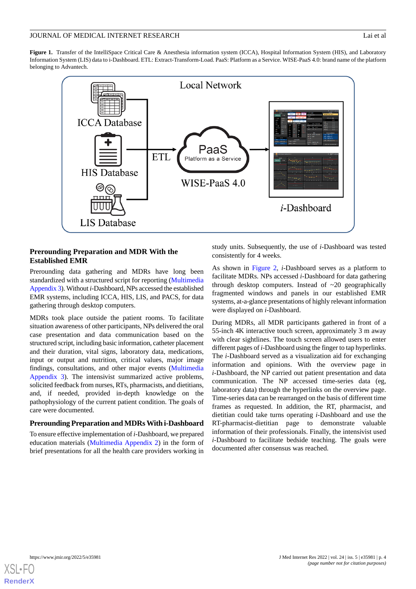<span id="page-3-0"></span>Figure 1. Transfer of the IntelliSpace Critical Care & Anesthesia information system (ICCA), Hospital Information System (HIS), and Laboratory Information System (LIS) data to i-Dashboard. ETL: Extract-Transform-Load. PaaS: Platform as a Service. WISE-PaaS 4.0: brand name of the platform belonging to Advantech.



# **Prerounding Preparation and MDR With the Established EMR**

Prerounding data gathering and MDRs have long been standardized with a structured script for reporting ([Multimedia](#page-11-8) [Appendix 3\)](#page-11-8). Without *i*-Dashboard, NPs accessed the established EMR systems, including ICCA, HIS, LIS, and PACS, for data gathering through desktop computers.

MDRs took place outside the patient rooms. To facilitate situation awareness of other participants, NPs delivered the oral case presentation and data communication based on the structured script, including basic information, catheter placement and their duration, vital signs, laboratory data, medications, input or output and nutrition, critical values, major image findings, consultations, and other major events ([Multimedia](#page-11-8) [Appendix 3](#page-11-8)). The intensivist summarized active problems, solicited feedback from nurses, RTs, pharmacists, and dietitians, and, if needed, provided in-depth knowledge on the pathophysiology of the current patient condition. The goals of care were documented.

# **Prerounding Preparation and MDRs With i-Dashboard**

To ensure effective implementation of *i*-Dashboard, we prepared education materials [\(Multimedia Appendix 2](#page-11-7)) in the form of brief presentations for all the health care providers working in

study units. Subsequently, the use of *i*-Dashboard was tested consistently for 4 weeks.

As shown in [Figure 2](#page-4-0), *i*-Dashboard serves as a platform to facilitate MDRs. NPs accessed *i*-Dashboard for data gathering through desktop computers. Instead of  $\sim$ 20 geographically fragmented windows and panels in our established EMR systems, at-a-glance presentations of highly relevant information were displayed on *i*-Dashboard.

During MDRs, all MDR participants gathered in front of a 55-inch 4K interactive touch screen, approximately 3 m away with clear sightlines. The touch screen allowed users to enter different pages of *i*-Dashboard using the finger to tap hyperlinks. The *i*-Dashboard served as a visualization aid for exchanging information and opinions. With the overview page in *i*-Dashboard, the NP carried out patient presentation and data communication. The NP accessed time-series data (eg, laboratory data) through the hyperlinks on the overview page. Time-series data can be rearranged on the basis of different time frames as requested. In addition, the RT, pharmacist, and dietitian could take turns operating *i*-Dashboard and use the RT-pharmacist-dietitian page to demonstrate valuable information of their professionals. Finally, the intensivist used *i*-Dashboard to facilitate bedside teaching. The goals were documented after consensus was reached.

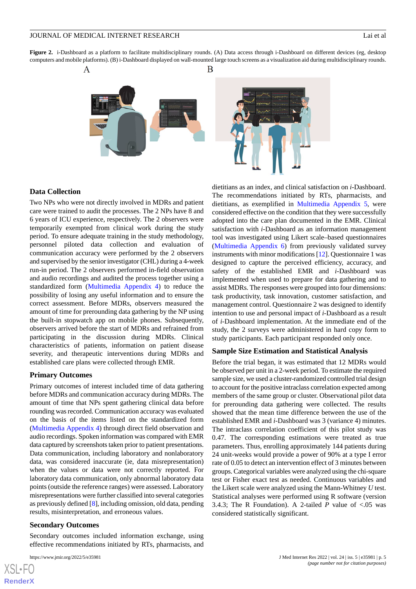<span id="page-4-0"></span>**Figure 2.** i-Dashboard as a platform to facilitate multidisciplinary rounds. (A) Data access through i-Dashboard on different devices (eg, desktop computers and mobile platforms). (B) i-Dashboard displayed on wall-mounted large touch screens as a visualization aid during multidisciplinary rounds.





#### **Data Collection**

Two NPs who were not directly involved in MDRs and patient care were trained to audit the processes. The 2 NPs have 8 and 6 years of ICU experience, respectively. The 2 observers were temporarily exempted from clinical work during the study period. To ensure adequate training in the study methodology, personnel piloted data collection and evaluation of communication accuracy were performed by the 2 observers and supervised by the senior investigator (CHL) during a 4-week run-in period. The 2 observers performed in-field observation and audio recordings and audited the process together using a standardized form ([Multimedia Appendix 4\)](#page-11-9) to reduce the possibility of losing any useful information and to ensure the correct assessment. Before MDRs, observers measured the amount of time for prerounding data gathering by the NP using the built-in stopwatch app on mobile phones. Subsequently, observers arrived before the start of MDRs and refrained from participating in the discussion during MDRs. Clinical characteristics of patients, information on patient disease severity, and therapeutic interventions during MDRs and established care plans were collected through EMR.

#### **Primary Outcomes**

Primary outcomes of interest included time of data gathering before MDRs and communication accuracy during MDRs. The amount of time that NPs spent gathering clinical data before rounding was recorded. Communication accuracy was evaluated on the basis of the items listed on the standardized form ([Multimedia Appendix 4](#page-11-9)) through direct field observation and audio recordings. Spoken information was compared with EMR data captured by screenshots taken prior to patient presentations. Data communication, including laboratory and nonlaboratory data, was considered inaccurate (ie, data misrepresentation) when the values or data were not correctly reported. For laboratory data communication, only abnormal laboratory data points (outside the reference ranges) were assessed. Laboratory misrepresentations were further classified into several categories as previously defined [\[8](#page-12-0)], including omission, old data, pending results, misinterpretation, and erroneous values.

#### **Secondary Outcomes**

Secondary outcomes included information exchange, using effective recommendations initiated by RTs, pharmacists, and

[XSL](http://www.w3.org/Style/XSL)•FO **[RenderX](http://www.renderx.com/)**

dietitians as an index, and clinical satisfaction on *i*-Dashboard. The recommendations initiated by RTs, pharmacists, and dietitians, as exemplified in [Multimedia Appendix 5](#page-11-10), were considered effective on the condition that they were successfully adopted into the care plan documented in the EMR. Clinical satisfaction with *i*-Dashboard as an information management tool was investigated using Likert scale–based questionnaires ([Multimedia Appendix 6](#page-11-11)) from previously validated survey instruments with minor modifications [[12\]](#page-12-5). Questionnaire 1 was designed to capture the perceived efficiency, accuracy, and safety of the established EMR and *i*-Dashboard was implemented when used to prepare for data gathering and to assist MDRs. The responses were grouped into four dimensions: task productivity, task innovation, customer satisfaction, and management control. Questionnaire 2 was designed to identify intention to use and personal impact of *i*-Dashboard as a result of *i*-Dashboard implementation. At the immediate end of the study, the 2 surveys were administered in hard copy form to study participants. Each participant responded only once.

#### **Sample Size Estimation and Statistical Analysis**

Before the trial began, it was estimated that 12 MDRs would be observed per unit in a 2-week period. To estimate the required sample size, we used a cluster-randomized controlled trial design to account for the positive intraclass correlation expected among members of the same group or cluster. Observational pilot data for prerounding data gathering were collected. The results showed that the mean time difference between the use of the established EMR and *i*-Dashboard was 3 (variance 4) minutes. The intraclass correlation coefficient of this pilot study was 0.47. The corresponding estimations were treated as true parameters. Thus, enrolling approximately 144 patients during 24 unit-weeks would provide a power of 90% at a type I error rate of 0.05 to detect an intervention effect of 3 minutes between groups. Categorical variables were analyzed using the chi-square test or Fisher exact test as needed. Continuous variables and the Likert scale were analyzed using the Mann-Whitney *U* test. Statistical analyses were performed using R software (version 3.4.3; The R Foundation). A 2-tailed  $P$  value of <.05 was considered statistically significant.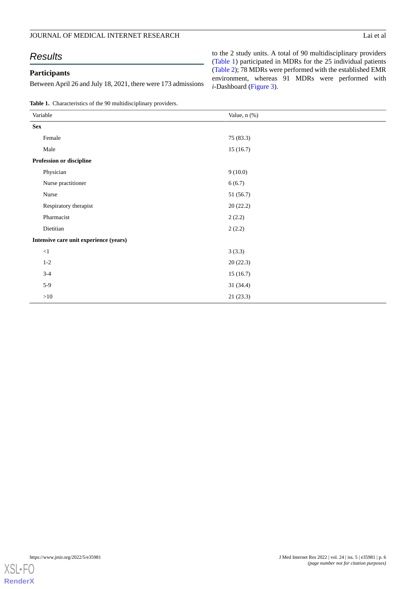# JOURNAL OF MEDICAL INTERNET RESEARCH Lai et al

# *Results*

# **Participants**

Between April 26 and July 18, 2021, there were 173 admissions

to the 2 study units. A total of 90 multidisciplinary providers ([Table 1](#page-5-0)) participated in MDRs for the 25 individual patients ([Table 2](#page-6-0)); 78 MDRs were performed with the established EMR environment, whereas 91 MDRs were performed with *i*-Dashboard ([Figure 3](#page-7-0)).

<span id="page-5-0"></span>**Table 1.** Characteristics of the 90 multidisciplinary providers.

| Variable                               | Value, n (%) |
|----------------------------------------|--------------|
| <b>Sex</b>                             |              |
| Female                                 | 75 (83.3)    |
| Male                                   | 15(16.7)     |
| Profession or discipline               |              |
| Physician                              | 9(10.0)      |
| Nurse practitioner                     | 6(6.7)       |
| Nurse                                  | 51 (56.7)    |
| Respiratory therapist                  | 20(22.2)     |
| Pharmacist                             | 2(2.2)       |
| Dietitian                              | 2(2.2)       |
| Intensive care unit experience (years) |              |
| ${<}1$                                 | 3(3.3)       |
| $1-2$                                  | 20(22.3)     |
| $3 - 4$                                | 15(16.7)     |
| $5-9$                                  | 31(34.4)     |
| $>10$                                  | 21(23.3)     |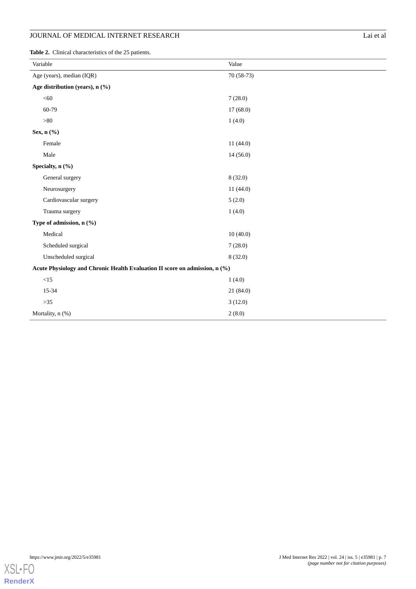# **JOURNAL OF MEDICAL INTERNET RESEARCH** Lai et al

<span id="page-6-0"></span>**Table 2.** Clinical characteristics of the 25 patients.

| Variable                                                                    | Value      |  |
|-----------------------------------------------------------------------------|------------|--|
| Age (years), median (IQR)                                                   | 70 (58-73) |  |
| Age distribution (years), n (%)                                             |            |  |
| < 60                                                                        | 7(28.0)    |  |
| 60-79                                                                       | 17(68.0)   |  |
| $>\!\!80$                                                                   | 1(4.0)     |  |
| Sex, n (%)                                                                  |            |  |
| Female                                                                      | 11(44.0)   |  |
| Male                                                                        | 14(56.0)   |  |
| Specialty, n (%)                                                            |            |  |
| General surgery                                                             | 8(32.0)    |  |
| Neurosurgery                                                                | 11(44.0)   |  |
| Cardiovascular surgery                                                      | 5(2.0)     |  |
| Trauma surgery                                                              | 1(4.0)     |  |
| Type of admission, n (%)                                                    |            |  |
| Medical                                                                     | 10(40.0)   |  |
| Scheduled surgical                                                          | 7(28.0)    |  |
| Unscheduled surgical                                                        | 8(32.0)    |  |
| Acute Physiology and Chronic Health Evaluation II score on admission, n (%) |            |  |
| $<15$                                                                       | 1(4.0)     |  |
| 15-34                                                                       | 21(84.0)   |  |
| $>35$                                                                       | 3(12.0)    |  |
| Mortality, n (%)                                                            | 2(8.0)     |  |

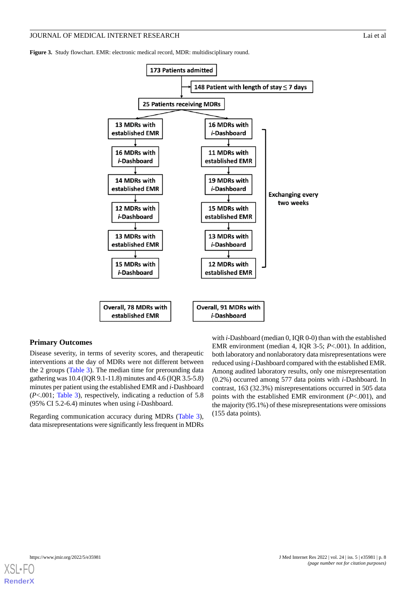<span id="page-7-0"></span>**Figure 3.** Study flowchart. EMR: electronic medical record, MDR: multidisciplinary round.



#### **Primary Outcomes**

Disease severity, in terms of severity scores, and therapeutic interventions at the day of MDRs were not different between the 2 groups ([Table 3\)](#page-8-0). The median time for prerounding data gathering was 10.4 (IQR 9.1-11.8) minutes and 4.6 (IQR 3.5-5.8) minutes per patient using the established EMR and *i*-Dashboard (*P*<.001; [Table 3\)](#page-8-0), respectively, indicating a reduction of 5.8 (95% CI 5.2-6.4) minutes when using *i*-Dashboard.

Regarding communication accuracy during MDRs [\(Table 3\)](#page-8-0), data misrepresentations were significantly less frequent in MDRs

with *i*-Dashboard (median 0, IQR 0-0) than with the established EMR environment (median 4, IQR 3-5; *P*<.001). In addition, both laboratory and nonlaboratory data misrepresentations were reduced using *i*-Dashboard compared with the established EMR. Among audited laboratory results, only one misrepresentation (0.2%) occurred among 577 data points with *i*-Dashboard. In contrast, 163 (32.3%) misrepresentations occurred in 505 data points with the established EMR environment (*P*<.001), and the majority (95.1%) of these misrepresentations were omissions (155 data points).

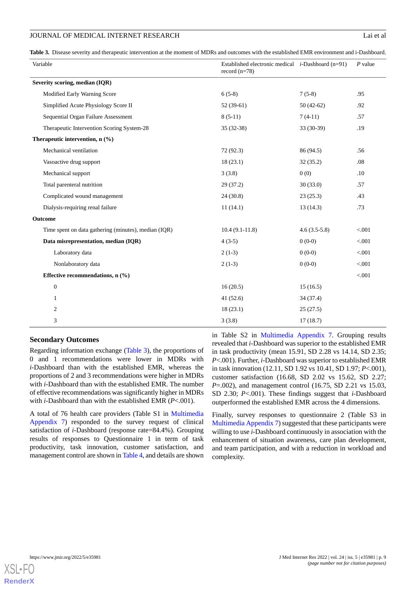<span id="page-8-0"></span>**Table 3.** Disease severity and therapeutic intervention at the moment of MDRs and outcomes with the established EMR environment and i-Dashboard.

| Variable                                             | Established electronic medical <i>i</i> -Dashboard (n=91)<br>record $(n=78)$ |                | $P$ value |
|------------------------------------------------------|------------------------------------------------------------------------------|----------------|-----------|
| Severity scoring, median (IQR)                       |                                                                              |                |           |
| Modified Early Warning Score                         | $6(5-8)$                                                                     | $7(5-8)$       | .95       |
| Simplified Acute Physiology Score II                 | $52(39-61)$                                                                  | $50(42-62)$    | .92       |
| Sequential Organ Failure Assessment                  | $8(5-11)$                                                                    | $7(4-11)$      | .57       |
| Therapeutic Intervention Scoring System-28           | $35(32-38)$                                                                  | 33 (30-39)     | .19       |
| Therapeutic intervention, n (%)                      |                                                                              |                |           |
| Mechanical ventilation                               | 72(92.3)                                                                     | 86 (94.5)      | .56       |
| Vasoactive drug support                              | 18(23.1)                                                                     | 32(35.2)       | .08       |
| Mechanical support                                   | 3(3.8)                                                                       | 0(0)           | .10       |
| Total parenteral nutrition                           | 29(37.2)                                                                     | 30(33.0)       | .57       |
| Complicated wound management                         | 24(30.8)                                                                     | 23(25.3)       | .43       |
| Dialysis-requiring renal failure                     | 11(14.1)                                                                     | 13(14.3)       | .73       |
| Outcome                                              |                                                                              |                |           |
| Time spent on data gathering (minutes), median (IQR) | $10.4(9.1-11.8)$                                                             | $4.6(3.5-5.8)$ | < 0.001   |
| Data misrepresentation, median (IQR)                 | $4(3-5)$                                                                     | $0(0-0)$       | < 0.001   |
| Laboratory data                                      | $2(1-3)$                                                                     | $0(0-0)$       | < 0.001   |
| Nonlaboratory data                                   | $2(1-3)$                                                                     | $0(0-0)$       | < 0.001   |
| Effective recommendations, n (%)                     |                                                                              |                | < 0.001   |
| $\boldsymbol{0}$                                     | 16(20.5)                                                                     | 15(16.5)       |           |
| $\mathbf{1}$                                         | 41(52.6)                                                                     | 34 (37.4)      |           |
| 2                                                    | 18(23.1)                                                                     | 25(27.5)       |           |
| 3                                                    | 3(3.8)                                                                       | 17(18.7)       |           |

#### **Secondary Outcomes**

Regarding information exchange ([Table 3\)](#page-8-0), the proportions of 0 and 1 recommendations were lower in MDRs with *i*-Dashboard than with the established EMR, whereas the proportions of 2 and 3 recommendations were higher in MDRs with *i*-Dashboard than with the established EMR. The number of effective recommendations was significantly higher in MDRs with *i*-Dashboard than with the established EMR (*P*<.001).

A total of 76 health care providers (Table S1 in [Multimedia](#page-11-12) [Appendix 7\)](#page-11-12) responded to the survey request of clinical satisfaction of *i*-Dashboard (response rate=84.4%). Grouping results of responses to Questionnaire 1 in term of task productivity, task innovation, customer satisfaction, and management control are shown in [Table 4](#page-9-0), and details are shown

in Table S2 in [Multimedia Appendix 7](#page-11-12). Grouping results revealed that *i*-Dashboard was superior to the established EMR in task productivity (mean 15.91, SD 2.28 vs 14.14, SD 2.35; *P*<.001). Further, *i*-Dashboard was superior to established EMR in task innovation (12.11, SD 1.92 vs 10.41, SD 1.97; *P*<.001), customer satisfaction (16.68, SD 2.02 vs 15.62, SD 2.27; *P*=.002), and management control (16.75, SD 2.21 vs 15.03, SD 2.30; *P*<.001). These findings suggest that *i*-Dashboard outperformed the established EMR across the 4 dimensions.

Finally, survey responses to questionnaire 2 (Table S3 in [Multimedia Appendix 7\)](#page-11-12) suggested that these participants were willing to use *i*-Dashboard continuously in association with the enhancement of situation awareness, care plan development, and team participation, and with a reduction in workload and complexity.

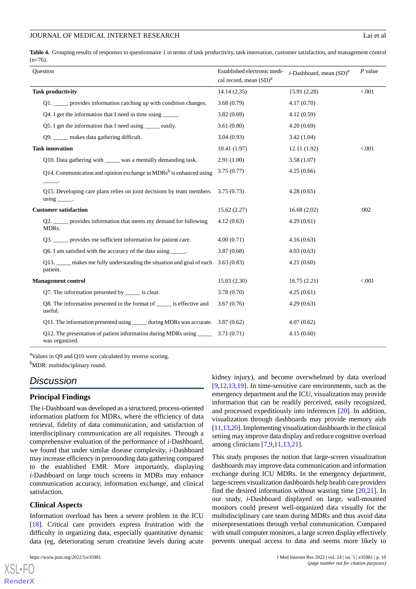<span id="page-9-0"></span>**Table 4.** Grouping results of responses to questionnaire 1 in terms of task productivity, task innovation, customer satisfaction, and management control  $(n=76)$ .

| Ouestion                                                                                 | Established electronic medi-<br>cal record, mean (SD) <sup>a</sup> | <i>i</i> -Dashboard, mean $(SD)^a$ | $P$ value |
|------------------------------------------------------------------------------------------|--------------------------------------------------------------------|------------------------------------|-----------|
| <b>Task productivity</b>                                                                 | 14.14(2.35)                                                        | 15.91 (2.28)                       | < .001    |
| Q1. _____ provides information catching up with condition changes.                       | 3.68(0.79)                                                         | 4.17(0.70)                         |           |
| Q4. I get the information that I need in time using ______.                              | 3.82(0.69)                                                         | 4.12(0.59)                         |           |
| Q5. I get the information that I need using ______ easily.                               | 3.61(0.80)                                                         | 4.20(0.69)                         |           |
| Q9. _____ makes data gathering difficult.                                                | 3.04(0.93)                                                         | 3.42(1.04)                         |           |
| <b>Task innovation</b>                                                                   | 10.41(1.97)                                                        | 12.11(1.92)                        | < 0.001   |
| Q10. Data gathering with _____ was a mentally demanding task.                            | 2.91(1.00)                                                         | 3.58(1.07)                         |           |
| Q14. Communication and opinion exchange in MDRs <sup>b</sup> is enhanced using           | 3.75(0.77)                                                         | 4.25(0.66)                         |           |
| Q15. Developing care plans relies on joint decisions by team members<br>$using$ _______. | 3.75(0.73)                                                         | 4.28(0.65)                         |           |
| <b>Customer satisfaction</b>                                                             | 15.62(2.27)                                                        | 16.68(2.02)                        | .002      |
| Q2. _____ provides information that meets my demand for following<br>MDR <sub>s</sub> .  | 4.12(0.63)                                                         | 4.29(0.61)                         |           |
| Q3. ______ provides me sufficient information for patient care.                          | 4.00(0.71)                                                         | 4.16(0.63)                         |           |
| Q6. I am satisfied with the accuracy of the data using _____.                            | 3.87(0.68)                                                         | 4.03(0.63)                         |           |
| Q13. _____ makes me fully understanding the situation and goal of each<br>patient.       | 3.63(0.83)                                                         | 4.21(0.60)                         |           |
| <b>Management control</b>                                                                | 15.03(2.30)                                                        | 16.75(2.21)                        | < 0.001   |
| Q7. The information presented by ______ is clear.                                        | 3.78(0.70)                                                         | 4.25(0.61)                         |           |
| Q8. The information presented in the format of ______ is effective and<br>useful.        | 3.67(0.76)                                                         | 4.29(0.63)                         |           |
| Q11. The information presented using ______ during MDRs was accurate. 3.87 (0.62)        |                                                                    | 4.07(0.62)                         |           |
| Q12. The presentation of patient information during MDRs using _____<br>was organized.   | 3.71(0.71)                                                         | 4.15(0.60)                         |           |

<sup>a</sup>Values in Q9 and Q10 were calculated by reverse scoring.

<sup>b</sup>MDR: multidisciplinary round.

# *Discussion*

#### **Principal Findings**

The *i*-Dashboard was developed as a structured, process-oriented information platform for MDRs, where the efficiency of data retrieval, fidelity of data communication, and satisfaction of interdisciplinary communication are all requisites. Through a comprehensive evaluation of the performance of *i*-Dashboard, we found that under similar disease complexity, *i*-Dashboard may increase efficiency in prerounding data gathering compared to the established EMR. More importantly, displaying *i*-Dashboard on large touch screens in MDRs may enhance communication accuracy, information exchange, and clinical satisfaction.

#### **Clinical Aspects**

Information overload has been a severe problem in the ICU [[18\]](#page-12-10). Critical care providers express frustration with the difficulty in organizing data, especially quantitative dynamic data (eg, deteriorating serum creatinine levels during acute

[XSL](http://www.w3.org/Style/XSL)•FO **[RenderX](http://www.renderx.com/)**

kidney injury), and become overwhelmed by data overload  $[9,12,13,19]$  $[9,12,13,19]$  $[9,12,13,19]$  $[9,12,13,19]$  $[9,12,13,19]$  $[9,12,13,19]$ . In time-sensitive care environments, such as the emergency department and the ICU, visualization may provide information that can be readily perceived, easily recognized, and processed expeditiously into inferences [\[20](#page-12-12)]. In addition, visualization through dashboards may provide memory aids [[11,](#page-12-3)[13,](#page-12-4)[20\]](#page-12-12). Implementing visualization dashboards in the clinical setting may improve data display and reduce cognitive overload among clinicians [[7](#page-11-5)[,9](#page-12-1)[,11](#page-12-3)[,13](#page-12-4),[21\]](#page-12-13).

This study proposes the notion that large-screen visualization dashboards may improve data communication and information exchange during ICU MDRs. In the emergency department, large-screen visualization dashboards help health care providers find the desired information without wasting time  $[20,21]$  $[20,21]$  $[20,21]$  $[20,21]$ . In our study, *i*-Dashboard displayed on large, wall-mounted monitors could present well-organized data visually for the multidisciplinary care team during MDRs and thus avoid data misrepresentations through verbal communication. Compared with small computer monitors, a large screen display effectively prevents unequal access to data and seems more likely to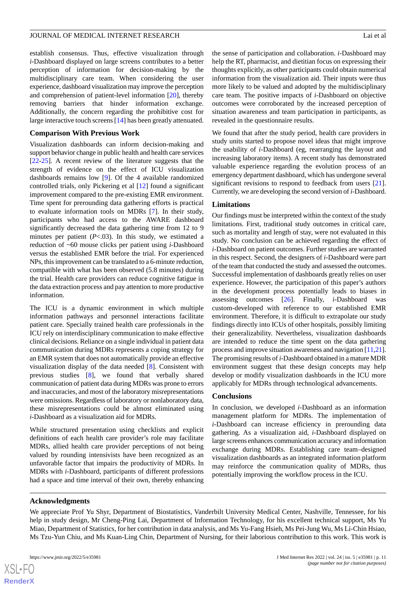establish consensus. Thus, effective visualization through *i*-Dashboard displayed on large screens contributes to a better perception of information for decision-making by the multidisciplinary care team. When considering the user experience, dashboard visualization may improve the perception and comprehension of patient-level information [[20\]](#page-12-12), thereby removing barriers that hinder information exchange. Additionally, the concern regarding the prohibitive cost for large interactive touch screens [[14\]](#page-12-6) has been greatly attenuated.

#### **Comparison With Previous Work**

Visualization dashboards can inform decision-making and support behavior change in public health and health care services [[22](#page-12-14)[-25](#page-12-15)]. A recent review of the literature suggests that the strength of evidence on the effect of ICU visualization dashboards remains low [[9\]](#page-12-1). Of the 4 available randomized controlled trials, only Pickering et al [[12\]](#page-12-5) found a significant improvement compared to the pre-existing EMR environment. Time spent for prerounding data gathering efforts is practical to evaluate information tools on MDRs [\[7](#page-11-5)]. In their study, participants who had access to the AWARE dashboard significantly decreased the data gathering time from 12 to 9 minutes per patient (*P*<.03). In this study, we estimated a reduction of ~60 mouse clicks per patient using *i*-Dashboard versus the established EMR before the trial. For experienced NPs, this improvement can be translated to a 6-minute reduction, compatible with what has been observed (5.8 minutes) during the trial. Health care providers can reduce cognitive fatigue in the data extraction process and pay attention to more productive information.

The ICU is a dynamic environment in which multiple information pathways and personnel interactions facilitate patient care. Specially trained health care professionals in the ICU rely on interdisciplinary communication to make effective clinical decisions. Reliance on a single individual in patient data communication during MDRs represents a coping strategy for an EMR system that does not automatically provide an effective visualization display of the data needed [\[8](#page-12-0)]. Consistent with previous studies [\[8](#page-12-0)], we found that verbally shared communication of patient data during MDRs was prone to errors and inaccuracies, and most of the laboratory misrepresentations were omissions. Regardless of laboratory or nonlaboratory data, these misrepresentations could be almost eliminated using *i*-Dashboard as a visualization aid for MDRs.

While structured presentation using checklists and explicit definitions of each health care provider's role may facilitate MDRs, allied health care provider perceptions of not being valued by rounding intensivists have been recognized as an unfavorable factor that impairs the productivity of MDRs. In MDRs with *i*-Dashboard, participants of different professions had a space and time interval of their own, thereby enhancing

the sense of participation and collaboration. *i*-Dashboard may help the RT, pharmacist, and dietitian focus on expressing their thoughts explicitly, as other participants could obtain numerical information from the visualization aid. Their inputs were thus more likely to be valued and adopted by the multidisciplinary care team. The positive impacts of *i*-Dashboard on objective outcomes were corroborated by the increased perception of situation awareness and team participation in participants, as revealed in the questionnaire results.

We found that after the study period, health care providers in study units started to propose novel ideas that might improve the usability of *i*-Dashboard (eg, rearranging the layout and increasing laboratory items). A recent study has demonstrated valuable experience regarding the evolution process of an emergency department dashboard, which has undergone several significant revisions to respond to feedback from users [[21\]](#page-12-13). Currently, we are developing the second version of *i*-Dashboard.

#### **Limitations**

Our findings must be interpreted within the context of the study limitations. First, traditional study outcomes in critical care, such as mortality and length of stay, were not evaluated in this study. No conclusion can be achieved regarding the effect of *i*-Dashboard on patient outcomes. Further studies are warranted in this respect. Second, the designers of *i*-Dashboard were part of the team that conducted the study and assessed the outcomes. Successful implementation of dashboards greatly relies on user experience. However, the participation of this paper's authors in the development process potentially leads to biases in assessing outcomes [\[26](#page-12-16)]. Finally, *i*-Dashboard was custom-developed with reference to our established EMR environment. Therefore, it is difficult to extrapolate our study findings directly into ICUs of other hospitals, possibly limiting their generalizability. Nevertheless, visualization dashboards are intended to reduce the time spent on the data gathering process and improve situation awareness and navigation [\[11](#page-12-3)[,21](#page-12-13)]. The promising results of *i*-Dashboard obtained in a mature MDR environment suggest that these design concepts may help develop or modify visualization dashboards in the ICU more applicably for MDRs through technological advancements.

#### **Conclusions**

In conclusion, we developed *i*-Dashboard as an information management platform for MDRs. The implementation of *i*-Dashboard can increase efficiency in prerounding data gathering. As a visualization aid, *i*-Dashboard displayed on large screens enhances communication accuracy and information exchange during MDRs. Establishing care team–designed visualization dashboards as an integrated information platform may reinforce the communication quality of MDRs, thus potentially improving the workflow process in the ICU.

#### **Acknowledgments**

We appreciate Prof Yu Shyr, Department of Biostatistics, Vanderbilt University Medical Center, Nashville, Tennessee, for his help in study design, Mr Cheng-Ping Lai, Department of Information Technology, for his excellent technical support, Ms Yu Miao, Department of Statistics, for her contribution in data analysis, and Ms Yu-Fang Hsieh, Ms Pei-Jung Wu, Ms Li-Chin Hsiao, Ms Tzu-Yun Chiu, and Ms Kuan-Ling Chin, Department of Nursing, for their laborious contribution to this work. This work is

 $XS$  $\cdot$ FC **[RenderX](http://www.renderx.com/)**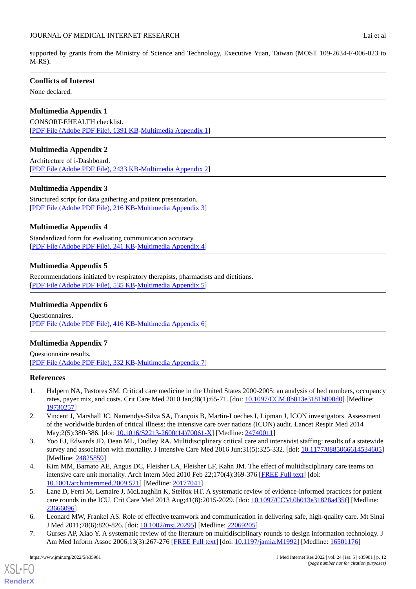supported by grants from the Ministry of Science and Technology, Executive Yuan, Taiwan (MOST 109-2634-F-006-023 to M-RS).

# **Conflicts of Interest**

<span id="page-11-6"></span>None declared.

# **Multimedia Appendix 1**

<span id="page-11-7"></span>CONSORT-EHEALTH checklist. [[PDF File \(Adobe PDF File\), 1391 KB](https://jmir.org/api/download?alt_name=jmir_v24i5e35981_app1.pdf&filename=0fb6ab894fb2288342a9250b3a4b5c79.pdf)-[Multimedia Appendix 1\]](https://jmir.org/api/download?alt_name=jmir_v24i5e35981_app1.pdf&filename=0fb6ab894fb2288342a9250b3a4b5c79.pdf)

# **Multimedia Appendix 2**

<span id="page-11-8"></span>Architecture of i-Dashboard. [[PDF File \(Adobe PDF File\), 2433 KB](https://jmir.org/api/download?alt_name=jmir_v24i5e35981_app2.pdf&filename=a31dbbad0953b1b1dbea6123ac879eba.pdf)-[Multimedia Appendix 2\]](https://jmir.org/api/download?alt_name=jmir_v24i5e35981_app2.pdf&filename=a31dbbad0953b1b1dbea6123ac879eba.pdf)

# **Multimedia Appendix 3**

<span id="page-11-9"></span>Structured script for data gathering and patient presentation. [[PDF File \(Adobe PDF File\), 216 KB](https://jmir.org/api/download?alt_name=jmir_v24i5e35981_app3.pdf&filename=5ab4db095c2650e5d266f5404b2dcf32.pdf)-[Multimedia Appendix 3\]](https://jmir.org/api/download?alt_name=jmir_v24i5e35981_app3.pdf&filename=5ab4db095c2650e5d266f5404b2dcf32.pdf)

# **Multimedia Appendix 4**

<span id="page-11-10"></span>Standardized form for evaluating communication accuracy. [[PDF File \(Adobe PDF File\), 241 KB](https://jmir.org/api/download?alt_name=jmir_v24i5e35981_app4.pdf&filename=e8d34f12b08707e3579ccf3200af9076.pdf)-[Multimedia Appendix 4\]](https://jmir.org/api/download?alt_name=jmir_v24i5e35981_app4.pdf&filename=e8d34f12b08707e3579ccf3200af9076.pdf)

# **Multimedia Appendix 5**

<span id="page-11-11"></span>Recommendations initiated by respiratory therapists, pharmacists and dietitians. [[PDF File \(Adobe PDF File\), 535 KB](https://jmir.org/api/download?alt_name=jmir_v24i5e35981_app5.pdf&filename=57254eaafaeb00d9f5b511ee3a71be53.pdf)-[Multimedia Appendix 5\]](https://jmir.org/api/download?alt_name=jmir_v24i5e35981_app5.pdf&filename=57254eaafaeb00d9f5b511ee3a71be53.pdf)

# <span id="page-11-12"></span>**Multimedia Appendix 6**

Questionnaires. [[PDF File \(Adobe PDF File\), 416 KB](https://jmir.org/api/download?alt_name=jmir_v24i5e35981_app6.pdf&filename=02b69cb07ff330d7e5d360f532685ac0.pdf)-[Multimedia Appendix 6\]](https://jmir.org/api/download?alt_name=jmir_v24i5e35981_app6.pdf&filename=02b69cb07ff330d7e5d360f532685ac0.pdf)

# **Multimedia Appendix 7**

<span id="page-11-0"></span>Questionnaire results. [[PDF File \(Adobe PDF File\), 332 KB](https://jmir.org/api/download?alt_name=jmir_v24i5e35981_app7.pdf&filename=c29fa71d8138c3777fbef1b84fd63e11.pdf)-[Multimedia Appendix 7\]](https://jmir.org/api/download?alt_name=jmir_v24i5e35981_app7.pdf&filename=c29fa71d8138c3777fbef1b84fd63e11.pdf)

# <span id="page-11-1"></span>**References**

- <span id="page-11-2"></span>1. Halpern NA, Pastores SM. Critical care medicine in the United States 2000-2005: an analysis of bed numbers, occupancy rates, payer mix, and costs. Crit Care Med 2010 Jan;38(1):65-71. [doi: [10.1097/CCM.0b013e3181b090d0](http://dx.doi.org/10.1097/CCM.0b013e3181b090d0)] [Medline: [19730257](http://www.ncbi.nlm.nih.gov/entrez/query.fcgi?cmd=Retrieve&db=PubMed&list_uids=19730257&dopt=Abstract)]
- <span id="page-11-3"></span>2. Vincent J, Marshall JC, Namendys-Silva SA, François B, Martin-Loeches I, Lipman J, ICON investigators. Assessment of the worldwide burden of critical illness: the intensive care over nations (ICON) audit. Lancet Respir Med 2014 May;2(5):380-386. [doi: [10.1016/S2213-2600\(14\)70061-X](http://dx.doi.org/10.1016/S2213-2600(14)70061-X)] [Medline: [24740011\]](http://www.ncbi.nlm.nih.gov/entrez/query.fcgi?cmd=Retrieve&db=PubMed&list_uids=24740011&dopt=Abstract)
- <span id="page-11-4"></span>3. Yoo EJ, Edwards JD, Dean ML, Dudley RA. Multidisciplinary critical care and intensivist staffing: results of a statewide survey and association with mortality. J Intensive Care Med 2016 Jun;31(5):325-332. [doi: [10.1177/0885066614534605](http://dx.doi.org/10.1177/0885066614534605)] [Medline: [24825859](http://www.ncbi.nlm.nih.gov/entrez/query.fcgi?cmd=Retrieve&db=PubMed&list_uids=24825859&dopt=Abstract)]
- 4. Kim MM, Barnato AE, Angus DC, Fleisher LA, Fleisher LF, Kahn JM. The effect of multidisciplinary care teams on intensive care unit mortality. Arch Intern Med 2010 Feb 22;170(4):369-376 [\[FREE Full text](http://europepmc.org/abstract/MED/20177041)] [doi: [10.1001/archinternmed.2009.521\]](http://dx.doi.org/10.1001/archinternmed.2009.521) [Medline: [20177041](http://www.ncbi.nlm.nih.gov/entrez/query.fcgi?cmd=Retrieve&db=PubMed&list_uids=20177041&dopt=Abstract)]
- <span id="page-11-5"></span>5. Lane D, Ferri M, Lemaire J, McLaughlin K, Stelfox HT. A systematic review of evidence-informed practices for patient care rounds in the ICU. Crit Care Med 2013 Aug;41(8):2015-2029. [doi: [10.1097/CCM.0b013e31828a435f\]](http://dx.doi.org/10.1097/CCM.0b013e31828a435f) [Medline: [23666096](http://www.ncbi.nlm.nih.gov/entrez/query.fcgi?cmd=Retrieve&db=PubMed&list_uids=23666096&dopt=Abstract)]
- 6. Leonard MW, Frankel AS. Role of effective teamwork and communication in delivering safe, high-quality care. Mt Sinai J Med 2011;78(6):820-826. [doi: [10.1002/msj.20295\]](http://dx.doi.org/10.1002/msj.20295) [Medline: [22069205\]](http://www.ncbi.nlm.nih.gov/entrez/query.fcgi?cmd=Retrieve&db=PubMed&list_uids=22069205&dopt=Abstract)
- 7. Gurses AP, Xiao Y. A systematic review of the literature on multidisciplinary rounds to design information technology. J Am Med Inform Assoc 2006;13(3):267-276 [\[FREE Full text\]](http://europepmc.org/abstract/MED/16501176) [doi: [10.1197/jamia.M1992\]](http://dx.doi.org/10.1197/jamia.M1992) [Medline: [16501176\]](http://www.ncbi.nlm.nih.gov/entrez/query.fcgi?cmd=Retrieve&db=PubMed&list_uids=16501176&dopt=Abstract)

[XSL](http://www.w3.org/Style/XSL)•FO **[RenderX](http://www.renderx.com/)**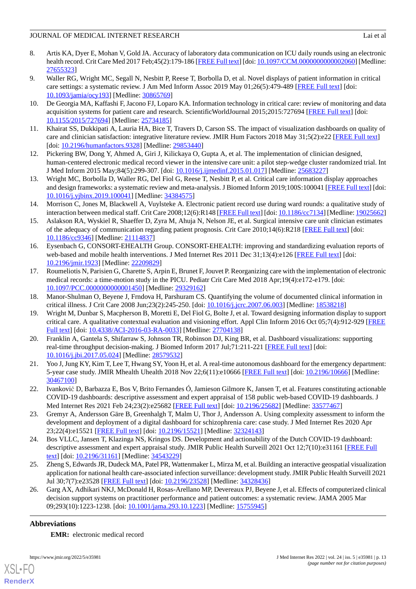# JOURNAL OF MEDICAL INTERNET RESEARCH LAI EXAMPLE 2012 121 LAI et al.

- 
- <span id="page-12-0"></span>8. Artis KA, Dyer E, Mohan V, Gold JA. Accuracy of laboratory data communication on ICU daily rounds using an electronic health record. Crit Care Med 2017 Feb;45(2):179-186 [\[FREE Full text](http://europepmc.org/abstract/MED/27655323)] [doi: 10.1097/CCM.000000000000002060] [Medline: [27655323](http://www.ncbi.nlm.nih.gov/entrez/query.fcgi?cmd=Retrieve&db=PubMed&list_uids=27655323&dopt=Abstract)]
- <span id="page-12-1"></span>9. Waller RG, Wright MC, Segall N, Nesbitt P, Reese T, Borbolla D, et al. Novel displays of patient information in critical care settings: a systematic review. J Am Med Inform Assoc 2019 May 01;26(5):479-489 [[FREE Full text](http://europepmc.org/abstract/MED/30865769)] [doi: [10.1093/jamia/ocy193](http://dx.doi.org/10.1093/jamia/ocy193)] [Medline: [30865769\]](http://www.ncbi.nlm.nih.gov/entrez/query.fcgi?cmd=Retrieve&db=PubMed&list_uids=30865769&dopt=Abstract)
- <span id="page-12-2"></span>10. De Georgia MA, Kaffashi F, Jacono FJ, Loparo KA. Information technology in critical care: review of monitoring and data acquisition systems for patient care and research. ScientificWorldJournal 2015;2015:727694 [[FREE Full text\]](https://doi.org/10.1155/2015/727694) [doi: [10.1155/2015/727694\]](http://dx.doi.org/10.1155/2015/727694) [Medline: [25734185](http://www.ncbi.nlm.nih.gov/entrez/query.fcgi?cmd=Retrieve&db=PubMed&list_uids=25734185&dopt=Abstract)]
- <span id="page-12-5"></span><span id="page-12-3"></span>11. Khairat SS, Dukkipati A, Lauria HA, Bice T, Travers D, Carson SS. The impact of visualization dashboards on quality of care and clinician satisfaction: integrative literature review. JMIR Hum Factors 2018 May 31;5(2):e22 [\[FREE Full text](https://humanfactors.jmir.org/2018/2/e22/)] [doi: [10.2196/humanfactors.9328](http://dx.doi.org/10.2196/humanfactors.9328)] [Medline: [29853440\]](http://www.ncbi.nlm.nih.gov/entrez/query.fcgi?cmd=Retrieve&db=PubMed&list_uids=29853440&dopt=Abstract)
- <span id="page-12-4"></span>12. Pickering BW, Dong Y, Ahmed A, Giri J, Kilickaya O, Gupta A, et al. The implementation of clinician designed, human-centered electronic medical record viewer in the intensive care unit: a pilot step-wedge cluster randomized trial. Int J Med Inform 2015 May;84(5):299-307. [doi: [10.1016/j.ijmedinf.2015.01.017\]](http://dx.doi.org/10.1016/j.ijmedinf.2015.01.017) [Medline: [25683227](http://www.ncbi.nlm.nih.gov/entrez/query.fcgi?cmd=Retrieve&db=PubMed&list_uids=25683227&dopt=Abstract)]
- <span id="page-12-6"></span>13. Wright MC, Borbolla D, Waller RG, Del Fiol G, Reese T, Nesbitt P, et al. Critical care information display approaches and design frameworks: a systematic review and meta-analysis. J Biomed Inform 2019;100S:100041 [\[FREE Full text\]](https://linkinghub.elsevier.com/retrieve/pii/S2590-177X(19)30040-X) [doi: [10.1016/j.yjbinx.2019.100041\]](http://dx.doi.org/10.1016/j.yjbinx.2019.100041) [Medline: [34384575](http://www.ncbi.nlm.nih.gov/entrez/query.fcgi?cmd=Retrieve&db=PubMed&list_uids=34384575&dopt=Abstract)]
- <span id="page-12-7"></span>14. Morrison C, Jones M, Blackwell A, Vuylsteke A. Electronic patient record use during ward rounds: a qualitative study of interaction between medical staff. Crit Care 2008;12(6):R148 [[FREE Full text\]](https://ccforum.biomedcentral.com/articles/10.1186/cc7134) [doi: [10.1186/cc7134\]](http://dx.doi.org/10.1186/cc7134) [Medline: [19025662](http://www.ncbi.nlm.nih.gov/entrez/query.fcgi?cmd=Retrieve&db=PubMed&list_uids=19025662&dopt=Abstract)]
- <span id="page-12-8"></span>15. Aslakson RA, Wyskiel R, Shaeffer D, Zyra M, Ahuja N, Nelson JE, et al. Surgical intensive care unit clinician estimates of the adequacy of communication regarding patient prognosis. Crit Care 2010;14(6):R218 [\[FREE Full text](https://ccforum.biomedcentral.com/articles/10.1186/cc9346)] [doi: [10.1186/cc9346\]](http://dx.doi.org/10.1186/cc9346) [Medline: [21114837](http://www.ncbi.nlm.nih.gov/entrez/query.fcgi?cmd=Retrieve&db=PubMed&list_uids=21114837&dopt=Abstract)]
- <span id="page-12-9"></span>16. Eysenbach G, CONSORT-EHEALTH Group. CONSORT-EHEALTH: improving and standardizing evaluation reports of web-based and mobile health interventions. J Med Internet Res 2011 Dec 31;13(4):e126 [[FREE Full text](https://www.jmir.org/2011/4/e126/)] [doi: [10.2196/jmir.1923](http://dx.doi.org/10.2196/jmir.1923)] [Medline: [22209829](http://www.ncbi.nlm.nih.gov/entrez/query.fcgi?cmd=Retrieve&db=PubMed&list_uids=22209829&dopt=Abstract)]
- <span id="page-12-11"></span><span id="page-12-10"></span>17. Roumeliotis N, Parisien G, Charette S, Arpin E, Brunet F, Jouvet P. Reorganizing care with the implementation of electronic medical records: a time-motion study in the PICU. Pediatr Crit Care Med 2018 Apr;19(4):e172-e179. [doi: [10.1097/PCC.0000000000001450](http://dx.doi.org/10.1097/PCC.0000000000001450)] [Medline: [29329162\]](http://www.ncbi.nlm.nih.gov/entrez/query.fcgi?cmd=Retrieve&db=PubMed&list_uids=29329162&dopt=Abstract)
- 18. Manor-Shulman O, Beyene J, Frndova H, Parshuram CS. Quantifying the volume of documented clinical information in critical illness. J Crit Care 2008 Jun;23(2):245-250. [doi: [10.1016/j.jcrc.2007.06.003\]](http://dx.doi.org/10.1016/j.jcrc.2007.06.003) [Medline: [18538218](http://www.ncbi.nlm.nih.gov/entrez/query.fcgi?cmd=Retrieve&db=PubMed&list_uids=18538218&dopt=Abstract)]
- <span id="page-12-12"></span>19. Wright M, Dunbar S, Macpherson B, Moretti E, Del Fiol G, Bolte J, et al. Toward designing information display to support critical care. A qualitative contextual evaluation and visioning effort. Appl Clin Inform 2016 Oct 05;7(4):912-929 [\[FREE](http://europepmc.org/abstract/MED/27704138) [Full text\]](http://europepmc.org/abstract/MED/27704138) [doi: [10.4338/ACI-2016-03-RA-0033](http://dx.doi.org/10.4338/ACI-2016-03-RA-0033)] [Medline: [27704138](http://www.ncbi.nlm.nih.gov/entrez/query.fcgi?cmd=Retrieve&db=PubMed&list_uids=27704138&dopt=Abstract)]
- <span id="page-12-14"></span><span id="page-12-13"></span>20. Franklin A, Gantela S, Shifarraw S, Johnson TR, Robinson DJ, King BR, et al. Dashboard visualizations: supporting real-time throughput decision-making. J Biomed Inform 2017 Jul;71:211-221 [[FREE Full text](https://linkinghub.elsevier.com/retrieve/pii/S1532-0464(17)30123-5)] [doi: [10.1016/j.jbi.2017.05.024](http://dx.doi.org/10.1016/j.jbi.2017.05.024)] [Medline: [28579532\]](http://www.ncbi.nlm.nih.gov/entrez/query.fcgi?cmd=Retrieve&db=PubMed&list_uids=28579532&dopt=Abstract)
- 21. Yoo J, Jung KY, Kim T, Lee T, Hwang SY, Yoon H, et al. A real-time autonomous dashboard for the emergency department: 5-year case study. JMIR Mhealth Uhealth 2018 Nov 22;6(11):e10666 [\[FREE Full text](https://mhealth.jmir.org/2018/11/e10666/)] [doi: [10.2196/10666](http://dx.doi.org/10.2196/10666)] [Medline: [30467100](http://www.ncbi.nlm.nih.gov/entrez/query.fcgi?cmd=Retrieve&db=PubMed&list_uids=30467100&dopt=Abstract)]
- 22. Ivanković D, Barbazza E, Bos V, Brito Fernandes Ó, Jamieson Gilmore K, Jansen T, et al. Features constituting actionable COVID-19 dashboards: descriptive assessment and expert appraisal of 158 public web-based COVID-19 dashboards. J Med Internet Res 2021 Feb 24;23(2):e25682 [[FREE Full text](https://www.jmir.org/2021/2/e25682/)] [doi: [10.2196/25682\]](http://dx.doi.org/10.2196/25682) [Medline: [33577467\]](http://www.ncbi.nlm.nih.gov/entrez/query.fcgi?cmd=Retrieve&db=PubMed&list_uids=33577467&dopt=Abstract)
- <span id="page-12-15"></span>23. Gremyr A, Andersson Gäre B, Greenhalgh T, Malm U, Thor J, Andersson A. Using complexity assessment to inform the development and deployment of a digital dashboard for schizophrenia care: case study. J Med Internet Res 2020 Apr 23;22(4):e15521 [\[FREE Full text](https://www.jmir.org/2020/4/e15521/)] [doi: [10.2196/15521\]](http://dx.doi.org/10.2196/15521) [Medline: [32324143\]](http://www.ncbi.nlm.nih.gov/entrez/query.fcgi?cmd=Retrieve&db=PubMed&list_uids=32324143&dopt=Abstract)
- <span id="page-12-16"></span>24. Bos VLLC, Jansen T, Klazinga NS, Kringos DS. Development and actionability of the Dutch COVID-19 dashboard: descriptive assessment and expert appraisal study. JMIR Public Health Surveill 2021 Oct 12;7(10):e31161 [[FREE Full](https://publichealth.jmir.org/2021/10/e31161/) [text](https://publichealth.jmir.org/2021/10/e31161/)] [doi: [10.2196/31161\]](http://dx.doi.org/10.2196/31161) [Medline: [34543229\]](http://www.ncbi.nlm.nih.gov/entrez/query.fcgi?cmd=Retrieve&db=PubMed&list_uids=34543229&dopt=Abstract)
- 25. Zheng S, Edwards JR, Dudeck MA, Patel PR, Wattenmaker L, Mirza M, et al. Building an interactive geospatial visualization application for national health care-associated infection surveillance: development study. JMIR Public Health Surveill 2021 Jul 30;7(7):e23528 [\[FREE Full text\]](https://publichealth.jmir.org/2021/7/e23528/) [doi: [10.2196/23528](http://dx.doi.org/10.2196/23528)] [Medline: [34328436\]](http://www.ncbi.nlm.nih.gov/entrez/query.fcgi?cmd=Retrieve&db=PubMed&list_uids=34328436&dopt=Abstract)
- 26. Garg AX, Adhikari NKJ, McDonald H, Rosas-Arellano MP, Devereaux PJ, Beyene J, et al. Effects of computerized clinical decision support systems on practitioner performance and patient outcomes: a systematic review. JAMA 2005 Mar 09;293(10):1223-1238. [doi: [10.1001/jama.293.10.1223\]](http://dx.doi.org/10.1001/jama.293.10.1223) [Medline: [15755945](http://www.ncbi.nlm.nih.gov/entrez/query.fcgi?cmd=Retrieve&db=PubMed&list_uids=15755945&dopt=Abstract)]

# **Abbreviations**

**EMR:** electronic medical record



[XSL](http://www.w3.org/Style/XSL)•FO **[RenderX](http://www.renderx.com/)**